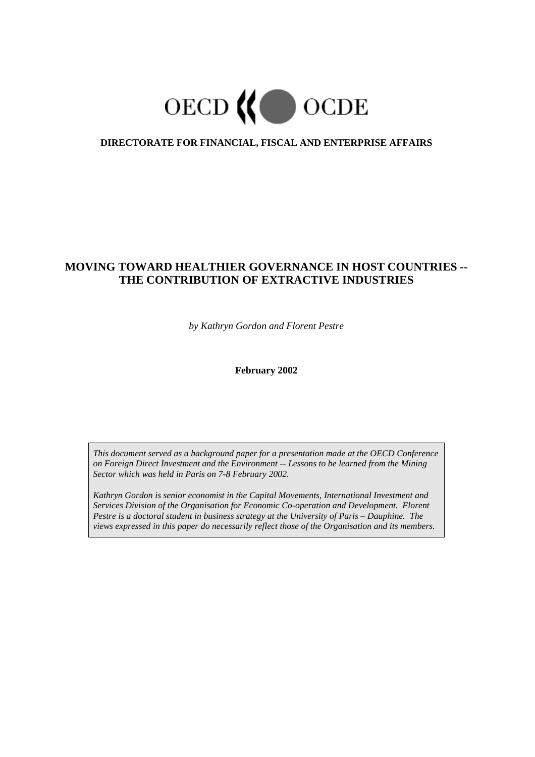

# **DIRECTORATE FOR FINANCIAL, FISCAL AND ENTERPRISE AFFAIRS**

# **MOVING TOWARD HEALTHIER GOVERNANCE IN HOST COUNTRIES -- THE CONTRIBUTION OF EXTRACTIVE INDUSTRIES**

*by Kathryn Gordon and Florent Pestre*

**February 2002**

*This document served as a background paper for a presentation made at the OECD Conference on Foreign Direct Investment and the Environment -- Lessons to be learned from the Mining Sector which was held in Paris on 7-8 February 2002.*

*Kathryn Gordon is senior economist in the Capital Movements, International Investment and Services Division of the Organisation for Economic Co-operation and Development. Florent Pestre is a doctoral student in business strategy at the University of Paris – Dauphine. The views expressed in this paper do necessarily reflect those of the Organisation and its members.*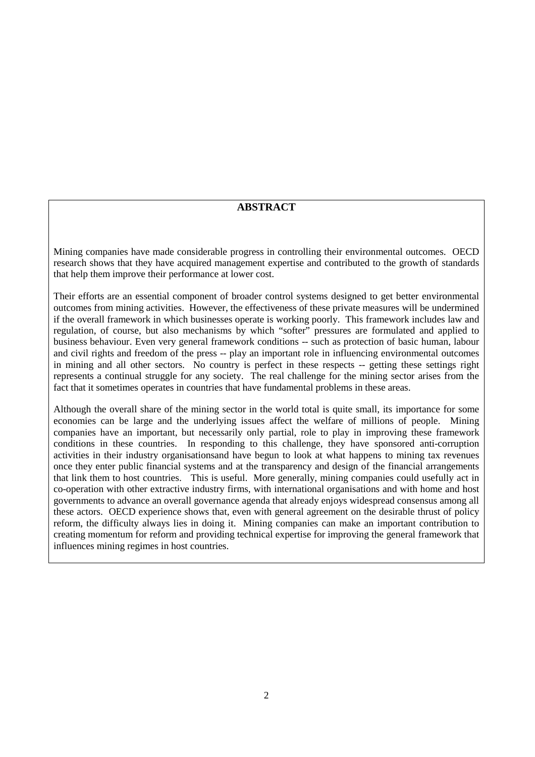# **ABSTRACT**

Mining companies have made considerable progress in controlling their environmental outcomes. OECD research shows that they have acquired management expertise and contributed to the growth of standards that help them improve their performance at lower cost.

Their efforts are an essential component of broader control systems designed to get better environmental outcomes from mining activities. However, the effectiveness of these private measures will be undermined if the overall framework in which businesses operate is working poorly. This framework includes law and regulation, of course, but also mechanisms by which "softer" pressures are formulated and applied to business behaviour. Even very general framework conditions -- such as protection of basic human, labour and civil rights and freedom of the press -- play an important role in influencing environmental outcomes in mining and all other sectors. No country is perfect in these respects -- getting these settings right represents a continual struggle for any society. The real challenge for the mining sector arises from the fact that it sometimes operates in countries that have fundamental problems in these areas.

Although the overall share of the mining sector in the world total is quite small, its importance for some economies can be large and the underlying issues affect the welfare of millions of people. Mining companies have an important, but necessarily only partial, role to play in improving these framework conditions in these countries. In responding to this challenge, they have sponsored anti-corruption activities in their industry organisationsand have begun to look at what happens to mining tax revenues once they enter public financial systems and at the transparency and design of the financial arrangements that link them to host countries. This is useful. More generally, mining companies could usefully act in co-operation with other extractive industry firms, with international organisations and with home and host governments to advance an overall governance agenda that already enjoys widespread consensus among all these actors. OECD experience shows that, even with general agreement on the desirable thrust of policy reform, the difficulty always lies in doing it. Mining companies can make an important contribution to creating momentum for reform and providing technical expertise for improving the general framework that influences mining regimes in host countries.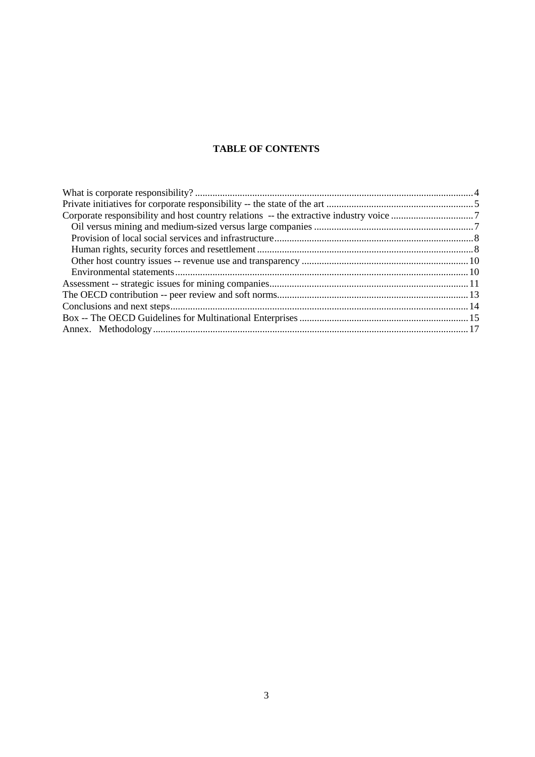# **TABLE OF CONTENTS**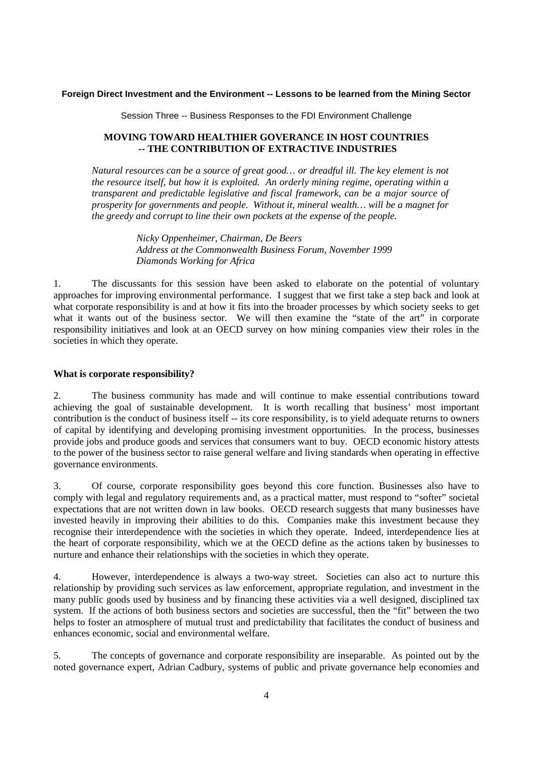#### **Foreign Direct Investment and the Environment -- Lessons to be learned from the Mining Sector**

Session Three -- Business Responses to the FDI Environment Challenge

# **MOVING TOWARD HEALTHIER GOVERANCE IN HOST COUNTRIES -- THE CONTRIBUTION OF EXTRACTIVE INDUSTRIES**

*Natural resources can be a source of great good… or dreadful ill. The key element is not the resource itself, but how it is exploited. An orderly mining regime, operating within a transparent and predictable legislative and fiscal framework, can be a major source of prosperity for governments and people. Without it, mineral wealth… will be a magnet for the greedy and corrupt to line their own pockets at the expense of the people.*

> *Nicky Oppenheimer, Chairman, De Beers Address at the Commonwealth Business Forum, November 1999 Diamonds Working for Africa*

1. The discussants for this session have been asked to elaborate on the potential of voluntary approaches for improving environmental performance. I suggest that we first take a step back and look at what corporate responsibility is and at how it fits into the broader processes by which society seeks to get what it wants out of the business sector. We will then examine the "state of the art" in corporate responsibility initiatives and look at an OECD survey on how mining companies view their roles in the societies in which they operate.

# **What is corporate responsibility?**

2. The business community has made and will continue to make essential contributions toward achieving the goal of sustainable development. It is worth recalling that business' most important contribution is the conduct of business itself -- its core responsibility, is to yield adequate returns to owners of capital by identifying and developing promising investment opportunities. In the process, businesses provide jobs and produce goods and services that consumers want to buy. OECD economic history attests to the power of the business sector to raise general welfare and living standards when operating in effective governance environments.

3. Of course, corporate responsibility goes beyond this core function. Businesses also have to comply with legal and regulatory requirements and, as a practical matter, must respond to "softer" societal expectations that are not written down in law books. OECD research suggests that many businesses have invested heavily in improving their abilities to do this. Companies make this investment because they recognise their interdependence with the societies in which they operate. Indeed, interdependence lies at the heart of corporate responsibility, which we at the OECD define as the actions taken by businesses to nurture and enhance their relationships with the societies in which they operate.

4. However, interdependence is always a two-way street. Societies can also act to nurture this relationship by providing such services as law enforcement, appropriate regulation, and investment in the many public goods used by business and by financing these activities via a well designed, disciplined tax system. If the actions of both business sectors and societies are successful, then the "fit" between the two helps to foster an atmosphere of mutual trust and predictability that facilitates the conduct of business and enhances economic, social and environmental welfare.

5. The concepts of governance and corporate responsibility are inseparable. As pointed out by the noted governance expert, Adrian Cadbury, systems of public and private governance help economies and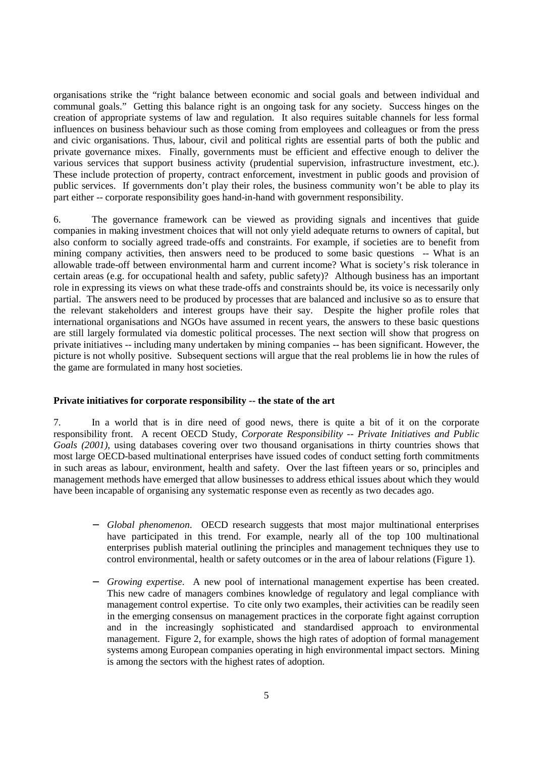organisations strike the "right balance between economic and social goals and between individual and communal goals." Getting this balance right is an ongoing task for any society. Success hinges on the creation of appropriate systems of law and regulation. It also requires suitable channels for less formal influences on business behaviour such as those coming from employees and colleagues or from the press and civic organisations. Thus, labour, civil and political rights are essential parts of both the public and private governance mixes. Finally, governments must be efficient and effective enough to deliver the various services that support business activity (prudential supervision, infrastructure investment, etc.). These include protection of property, contract enforcement, investment in public goods and provision of public services. If governments don't play their roles, the business community won't be able to play its part either -- corporate responsibility goes hand-in-hand with government responsibility.

6. The governance framework can be viewed as providing signals and incentives that guide companies in making investment choices that will not only yield adequate returns to owners of capital, but also conform to socially agreed trade-offs and constraints. For example, if societies are to benefit from mining company activities, then answers need to be produced to some basic questions -- What is an allowable trade-off between environmental harm and current income? What is society's risk tolerance in certain areas (e.g. for occupational health and safety, public safety)? Although business has an important role in expressing its views on what these trade-offs and constraints should be, its voice is necessarily only partial. The answers need to be produced by processes that are balanced and inclusive so as to ensure that the relevant stakeholders and interest groups have their say. Despite the higher profile roles that international organisations and NGOs have assumed in recent years, the answers to these basic questions are still largely formulated via domestic political processes. The next section will show that progress on private initiatives -- including many undertaken by mining companies -- has been significant. However, the picture is not wholly positive. Subsequent sections will argue that the real problems lie in how the rules of the game are formulated in many host societies.

#### **Private initiatives for corporate responsibility -- the state of the art**

7. In a world that is in dire need of good news, there is quite a bit of it on the corporate responsibility front. A recent OECD Study, *Corporate Responsibility -- Private Initiatives and Public Goals (2001)*, using databases covering over two thousand organisations in thirty countries shows that most large OECD-based multinational enterprises have issued codes of conduct setting forth commitments in such areas as labour, environment, health and safety. Over the last fifteen years or so, principles and management methods have emerged that allow businesses to address ethical issues about which they would have been incapable of organising any systematic response even as recently as two decades ago.

- − *Global phenomenon*. OECD research suggests that most major multinational enterprises have participated in this trend. For example, nearly all of the top 100 multinational enterprises publish material outlining the principles and management techniques they use to control environmental, health or safety outcomes or in the area of labour relations (Figure 1).
- *Growing expertise.* A new pool of international management expertise has been created. This new cadre of managers combines knowledge of regulatory and legal compliance with management control expertise. To cite only two examples, their activities can be readily seen in the emerging consensus on management practices in the corporate fight against corruption and in the increasingly sophisticated and standardised approach to environmental management. Figure 2, for example, shows the high rates of adoption of formal management systems among European companies operating in high environmental impact sectors. Mining is among the sectors with the highest rates of adoption.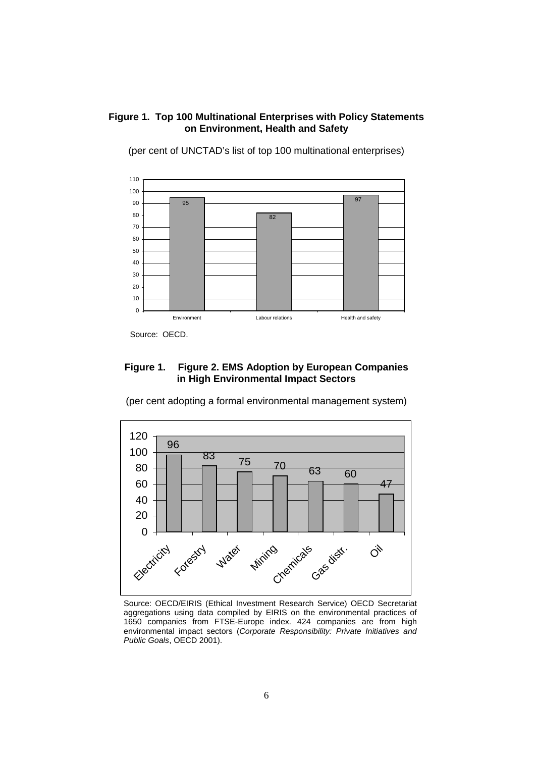# **Figure 1. Top 100 Multinational Enterprises with Policy Statements on Environment, Health and Safety**



(per cent of UNCTAD's list of top 100 multinational enterprises)

## **Figure 1. Figure 2. EMS Adoption by European Companies in High Environmental Impact Sectors**



(per cent adopting a formal environmental management system)

Source: OECD/EIRIS (Ethical Investment Research Service) OECD Secretariat aggregations using data compiled by EIRIS on the environmental practices of 1650 companies from FTSE-Europe index. 424 companies are from high environmental impact sectors (Corporate Responsibility: Private Initiatives and Public Goals, OECD 2001).

Source: OECD.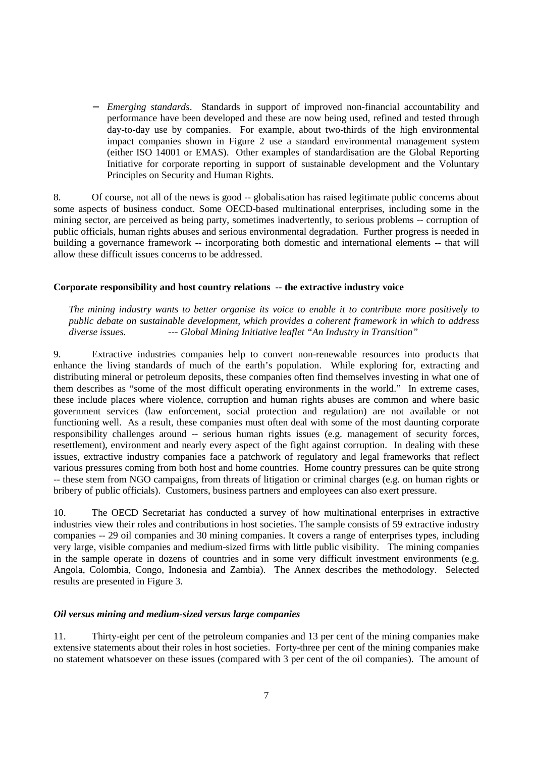*Emerging standards*. Standards in support of improved non-financial accountability and performance have been developed and these are now being used, refined and tested through day-to-day use by companies. For example, about two-thirds of the high environmental impact companies shown in Figure 2 use a standard environmental management system (either ISO 14001 or EMAS). Other examples of standardisation are the Global Reporting Initiative for corporate reporting in support of sustainable development and the Voluntary Principles on Security and Human Rights.

8. Of course, not all of the news is good -- globalisation has raised legitimate public concerns about some aspects of business conduct. Some OECD-based multinational enterprises, including some in the mining sector, are perceived as being party, sometimes inadvertently, to serious problems -- corruption of public officials, human rights abuses and serious environmental degradation. Further progress is needed in building a governance framework -- incorporating both domestic and international elements -- that will allow these difficult issues concerns to be addressed.

#### **Corporate responsibility and host country relations -- the extractive industry voice**

*The mining industry wants to better organise its voice to enable it to contribute more positively to public debate on sustainable development, which provides a coherent framework in which to address diverse issues. --- Global Mining Initiative leaflet "An Industry in Transition"*

9. Extractive industries companies help to convert non-renewable resources into products that enhance the living standards of much of the earth's population. While exploring for, extracting and distributing mineral or petroleum deposits, these companies often find themselves investing in what one of them describes as "some of the most difficult operating environments in the world." In extreme cases, these include places where violence, corruption and human rights abuses are common and where basic government services (law enforcement, social protection and regulation) are not available or not functioning well. As a result, these companies must often deal with some of the most daunting corporate responsibility challenges around -- serious human rights issues (e.g. management of security forces, resettlement), environment and nearly every aspect of the fight against corruption. In dealing with these issues, extractive industry companies face a patchwork of regulatory and legal frameworks that reflect various pressures coming from both host and home countries. Home country pressures can be quite strong -- these stem from NGO campaigns, from threats of litigation or criminal charges (e.g. on human rights or bribery of public officials). Customers, business partners and employees can also exert pressure.

10. The OECD Secretariat has conducted a survey of how multinational enterprises in extractive industries view their roles and contributions in host societies. The sample consists of 59 extractive industry companies -- 29 oil companies and 30 mining companies. It covers a range of enterprises types, including very large, visible companies and medium-sized firms with little public visibility. The mining companies in the sample operate in dozens of countries and in some very difficult investment environments (e.g. Angola, Colombia, Congo, Indonesia and Zambia). The Annex describes the methodology. Selected results are presented in Figure 3.

#### *Oil versus mining and medium-sized versus large companies*

11. Thirty-eight per cent of the petroleum companies and 13 per cent of the mining companies make extensive statements about their roles in host societies. Forty-three per cent of the mining companies make no statement whatsoever on these issues (compared with 3 per cent of the oil companies). The amount of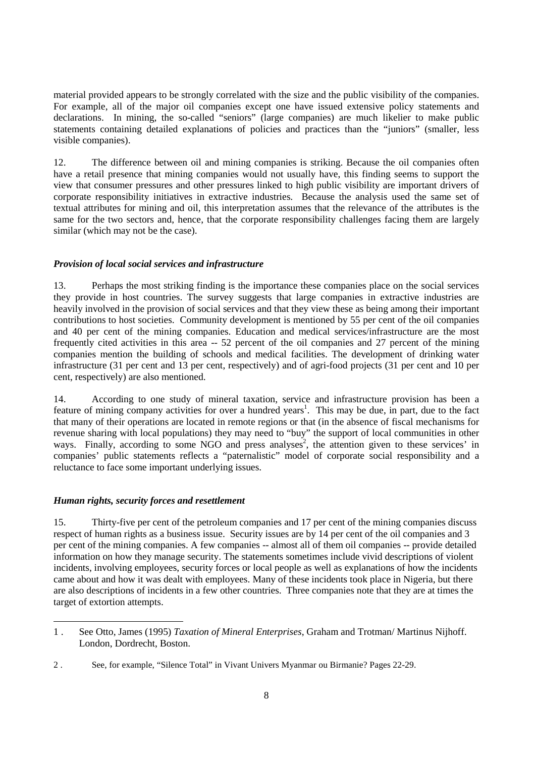material provided appears to be strongly correlated with the size and the public visibility of the companies. For example, all of the major oil companies except one have issued extensive policy statements and declarations. In mining, the so-called "seniors" (large companies) are much likelier to make public statements containing detailed explanations of policies and practices than the "juniors" (smaller, less visible companies).

12. The difference between oil and mining companies is striking. Because the oil companies often have a retail presence that mining companies would not usually have, this finding seems to support the view that consumer pressures and other pressures linked to high public visibility are important drivers of corporate responsibility initiatives in extractive industries. Because the analysis used the same set of textual attributes for mining and oil, this interpretation assumes that the relevance of the attributes is the same for the two sectors and, hence, that the corporate responsibility challenges facing them are largely similar (which may not be the case).

## *Provision of local social services and infrastructure*

13. Perhaps the most striking finding is the importance these companies place on the social services they provide in host countries. The survey suggests that large companies in extractive industries are heavily involved in the provision of social services and that they view these as being among their important contributions to host societies. Community development is mentioned by 55 per cent of the oil companies and 40 per cent of the mining companies. Education and medical services/infrastructure are the most frequently cited activities in this area -- 52 percent of the oil companies and 27 percent of the mining companies mention the building of schools and medical facilities. The development of drinking water infrastructure (31 per cent and 13 per cent, respectively) and of agri-food projects (31 per cent and 10 per cent, respectively) are also mentioned.

14. According to one study of mineral taxation, service and infrastructure provision has been a feature of mining company activities for over a hundred years<sup>1</sup>. This may be due, in part, due to the fact that many of their operations are located in remote regions or that (in the absence of fiscal mechanisms for revenue sharing with local populations) they may need to "buy" the support of local communities in other ways. Finally, according to some NGO and press analyses<sup>2</sup>, the attention given to these services' in companies' public statements reflects a "paternalistic" model of corporate social responsibility and a reluctance to face some important underlying issues.

## *Human rights, security forces and resettlement*

15. Thirty-five per cent of the petroleum companies and 17 per cent of the mining companies discuss respect of human rights as a business issue. Security issues are by 14 per cent of the oil companies and 3 per cent of the mining companies. A few companies -- almost all of them oil companies -- provide detailed information on how they manage security. The statements sometimes include vivid descriptions of violent incidents, involving employees, security forces or local people as well as explanations of how the incidents came about and how it was dealt with employees. Many of these incidents took place in Nigeria, but there are also descriptions of incidents in a few other countries. Three companies note that they are at times the target of extortion attempts.

<sup>1 .</sup> See Otto, James (1995) *Taxation of Mineral Enterprises*, Graham and Trotman/ Martinus Nijhoff. London, Dordrecht, Boston.

<sup>2 .</sup> See, for example, "Silence Total" in Vivant Univers Myanmar ou Birmanie? Pages 22-29.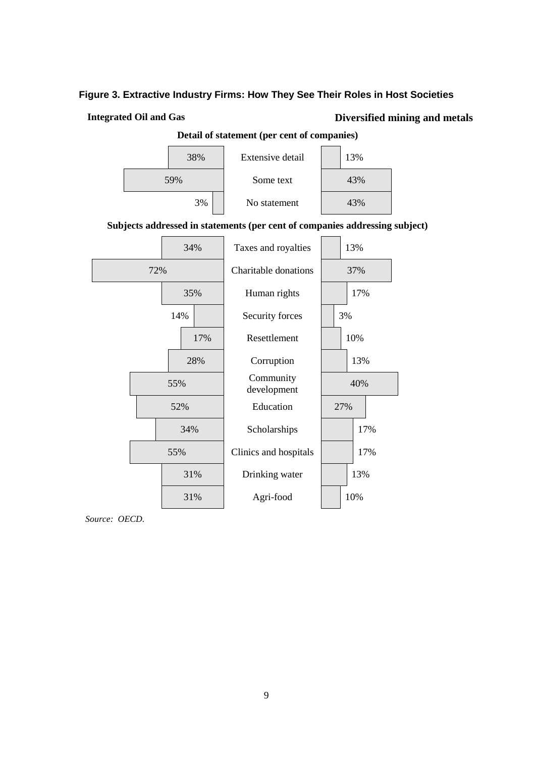# **Figure 3. Extractive Industry Firms: How They See Their Roles in Host Societies**

# **Integrated Oil and Gas Diversified mining and metals**



**Subjects addressed in statements (per cent of companies addressing subject)**



*Source: OECD.*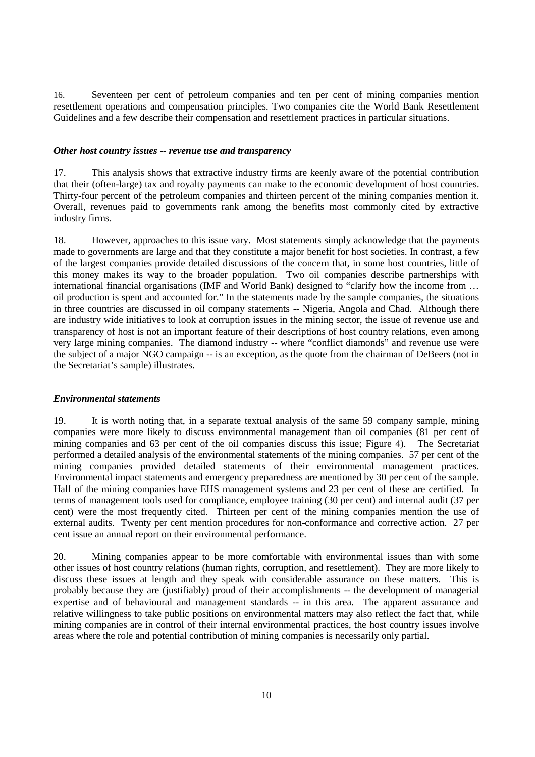16. Seventeen per cent of petroleum companies and ten per cent of mining companies mention resettlement operations and compensation principles. Two companies cite the World Bank Resettlement Guidelines and a few describe their compensation and resettlement practices in particular situations.

#### *Other host country issues -- revenue use and transparency*

17. This analysis shows that extractive industry firms are keenly aware of the potential contribution that their (often-large) tax and royalty payments can make to the economic development of host countries. Thirty-four percent of the petroleum companies and thirteen percent of the mining companies mention it. Overall, revenues paid to governments rank among the benefits most commonly cited by extractive industry firms.

18. However, approaches to this issue vary. Most statements simply acknowledge that the payments made to governments are large and that they constitute a major benefit for host societies. In contrast, a few of the largest companies provide detailed discussions of the concern that, in some host countries, little of this money makes its way to the broader population. Two oil companies describe partnerships with international financial organisations (IMF and World Bank) designed to "clarify how the income from … oil production is spent and accounted for." In the statements made by the sample companies, the situations in three countries are discussed in oil company statements -- Nigeria, Angola and Chad. Although there are industry wide initiatives to look at corruption issues in the mining sector, the issue of revenue use and transparency of host is not an important feature of their descriptions of host country relations, even among very large mining companies. The diamond industry -- where "conflict diamonds" and revenue use were the subject of a major NGO campaign -- is an exception, as the quote from the chairman of DeBeers (not in the Secretariat's sample) illustrates.

#### *Environmental statements*

19. It is worth noting that, in a separate textual analysis of the same 59 company sample, mining companies were more likely to discuss environmental management than oil companies (81 per cent of mining companies and 63 per cent of the oil companies discuss this issue; Figure 4). The Secretariat performed a detailed analysis of the environmental statements of the mining companies. 57 per cent of the mining companies provided detailed statements of their environmental management practices. Environmental impact statements and emergency preparedness are mentioned by 30 per cent of the sample. Half of the mining companies have EHS management systems and 23 per cent of these are certified. In terms of management tools used for compliance, employee training (30 per cent) and internal audit (37 per cent) were the most frequently cited. Thirteen per cent of the mining companies mention the use of external audits. Twenty per cent mention procedures for non-conformance and corrective action. 27 per cent issue an annual report on their environmental performance.

20. Mining companies appear to be more comfortable with environmental issues than with some other issues of host country relations (human rights, corruption, and resettlement). They are more likely to discuss these issues at length and they speak with considerable assurance on these matters. This is probably because they are (justifiably) proud of their accomplishments -- the development of managerial expertise and of behavioural and management standards -- in this area. The apparent assurance and relative willingness to take public positions on environmental matters may also reflect the fact that, while mining companies are in control of their internal environmental practices, the host country issues involve areas where the role and potential contribution of mining companies is necessarily only partial.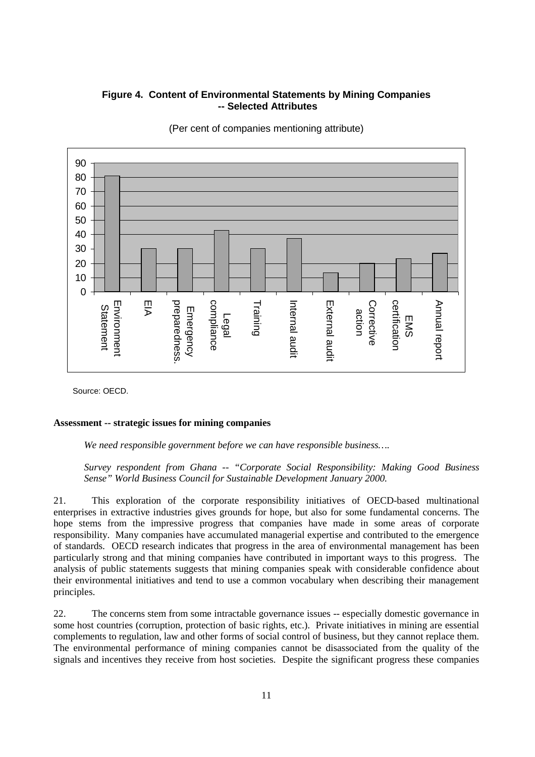

**Figure 4. Content of Environmental Statements by Mining Companies -- Selected Attributes**

(Per cent of companies mentioning attribute)

Source: OECD.

#### **Assessment -- strategic issues for mining companies**

*We need responsible government before we can have responsible business….*

*Survey respondent from Ghana -- "Corporate Social Responsibility: Making Good Business Sense" World Business Council for Sustainable Development January 2000.*

21. This exploration of the corporate responsibility initiatives of OECD-based multinational enterprises in extractive industries gives grounds for hope, but also for some fundamental concerns. The hope stems from the impressive progress that companies have made in some areas of corporate responsibility. Many companies have accumulated managerial expertise and contributed to the emergence of standards. OECD research indicates that progress in the area of environmental management has been particularly strong and that mining companies have contributed in important ways to this progress. The analysis of public statements suggests that mining companies speak with considerable confidence about their environmental initiatives and tend to use a common vocabulary when describing their management principles.

22. The concerns stem from some intractable governance issues -- especially domestic governance in some host countries (corruption, protection of basic rights, etc.). Private initiatives in mining are essential complements to regulation, law and other forms of social control of business, but they cannot replace them. The environmental performance of mining companies cannot be disassociated from the quality of the signals and incentives they receive from host societies. Despite the significant progress these companies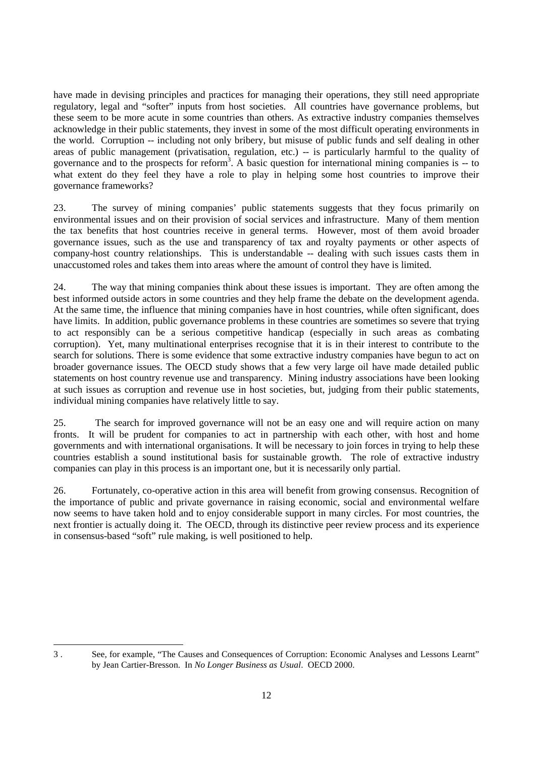have made in devising principles and practices for managing their operations, they still need appropriate regulatory, legal and "softer" inputs from host societies. All countries have governance problems, but these seem to be more acute in some countries than others. As extractive industry companies themselves acknowledge in their public statements, they invest in some of the most difficult operating environments in the world. Corruption -- including not only bribery, but misuse of public funds and self dealing in other areas of public management (privatisation, regulation, etc.) -- is particularly harmful to the quality of governance and to the prospects for reform<sup>3</sup>. A basic question for international mining companies is -- to what extent do they feel they have a role to play in helping some host countries to improve their governance frameworks?

23. The survey of mining companies' public statements suggests that they focus primarily on environmental issues and on their provision of social services and infrastructure. Many of them mention the tax benefits that host countries receive in general terms. However, most of them avoid broader governance issues, such as the use and transparency of tax and royalty payments or other aspects of company-host country relationships. This is understandable -- dealing with such issues casts them in unaccustomed roles and takes them into areas where the amount of control they have is limited.

24. The way that mining companies think about these issues is important. They are often among the best informed outside actors in some countries and they help frame the debate on the development agenda. At the same time, the influence that mining companies have in host countries, while often significant, does have limits. In addition, public governance problems in these countries are sometimes so severe that trying to act responsibly can be a serious competitive handicap (especially in such areas as combating corruption). Yet, many multinational enterprises recognise that it is in their interest to contribute to the search for solutions. There is some evidence that some extractive industry companies have begun to act on broader governance issues. The OECD study shows that a few very large oil have made detailed public statements on host country revenue use and transparency. Mining industry associations have been looking at such issues as corruption and revenue use in host societies, but, judging from their public statements, individual mining companies have relatively little to say.

25. The search for improved governance will not be an easy one and will require action on many fronts. It will be prudent for companies to act in partnership with each other, with host and home governments and with international organisations. It will be necessary to join forces in trying to help these countries establish a sound institutional basis for sustainable growth. The role of extractive industry companies can play in this process is an important one, but it is necessarily only partial.

26. Fortunately, co-operative action in this area will benefit from growing consensus. Recognition of the importance of public and private governance in raising economic, social and environmental welfare now seems to have taken hold and to enjoy considerable support in many circles. For most countries, the next frontier is actually doing it. The OECD, through its distinctive peer review process and its experience in consensus-based "soft" rule making, is well positioned to help.

<sup>3 .</sup> See, for example, "The Causes and Consequences of Corruption: Economic Analyses and Lessons Learnt" by Jean Cartier-Bresson. In *No Longer Business as Usual*. OECD 2000.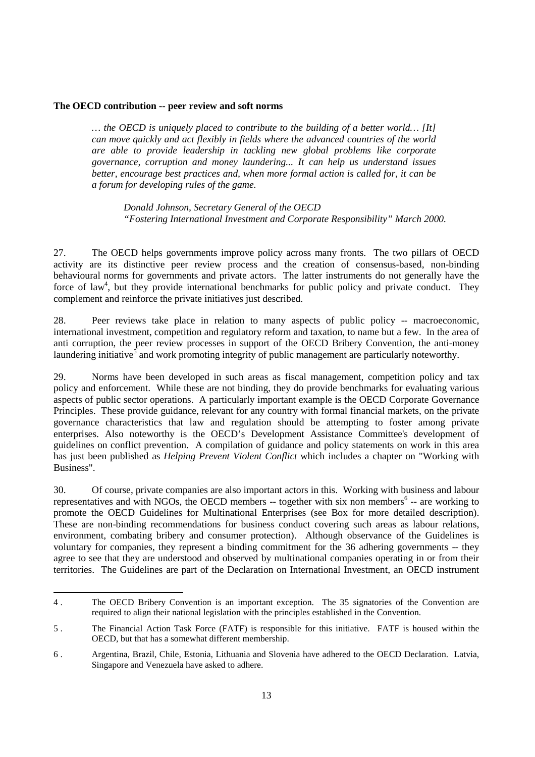#### **The OECD contribution -- peer review and soft norms**

*… the OECD is uniquely placed to contribute to the building of a better world… [It] can move quickly and act flexibly in fields where the advanced countries of the world are able to provide leadership in tackling new global problems like corporate governance, corruption and money laundering... It can help us understand issues better, encourage best practices and, when more formal action is called for, it can be a forum for developing rules of the game.*

*Donald Johnson, Secretary General of the OECD "Fostering International Investment and Corporate Responsibility" March 2000.*

27. The OECD helps governments improve policy across many fronts. The two pillars of OECD activity are its distinctive peer review process and the creation of consensus-based, non-binding behavioural norms for governments and private actors. The latter instruments do not generally have the force of law<sup>4</sup>, but they provide international benchmarks for public policy and private conduct. They complement and reinforce the private initiatives just described.

28. Peer reviews take place in relation to many aspects of public policy -- macroeconomic, international investment, competition and regulatory reform and taxation, to name but a few. In the area of anti corruption, the peer review processes in support of the OECD Bribery Convention, the anti-money laundering initiative<sup>5</sup> and work promoting integrity of public management are particularly noteworthy.

29. Norms have been developed in such areas as fiscal management, competition policy and tax policy and enforcement. While these are not binding, they do provide benchmarks for evaluating various aspects of public sector operations. A particularly important example is the OECD Corporate Governance Principles. These provide guidance, relevant for any country with formal financial markets, on the private governance characteristics that law and regulation should be attempting to foster among private enterprises. Also noteworthy is the OECD's Development Assistance Committee's development of guidelines on conflict prevention. A compilation of guidance and policy statements on work in this area has just been published as *Helping Prevent Violent Conflict* which includes a chapter on "Working with Business".

30. Of course, private companies are also important actors in this. Working with business and labour representatives and with NGOs, the OECD members  $-$  together with six non members<sup>6</sup> $-$  are working to promote the OECD Guidelines for Multinational Enterprises (see Box for more detailed description). These are non-binding recommendations for business conduct covering such areas as labour relations, environment, combating bribery and consumer protection). Although observance of the Guidelines is voluntary for companies, they represent a binding commitment for the 36 adhering governments -- they agree to see that they are understood and observed by multinational companies operating in or from their territories. The Guidelines are part of the Declaration on International Investment, an OECD instrument

<sup>4 .</sup> The OECD Bribery Convention is an important exception. The 35 signatories of the Convention are required to align their national legislation with the principles established in the Convention.

<sup>5 .</sup> The Financial Action Task Force (FATF) is responsible for this initiative. FATF is housed within the OECD, but that has a somewhat different membership.

<sup>6 .</sup> Argentina, Brazil, Chile, Estonia, Lithuania and Slovenia have adhered to the OECD Declaration. Latvia, Singapore and Venezuela have asked to adhere.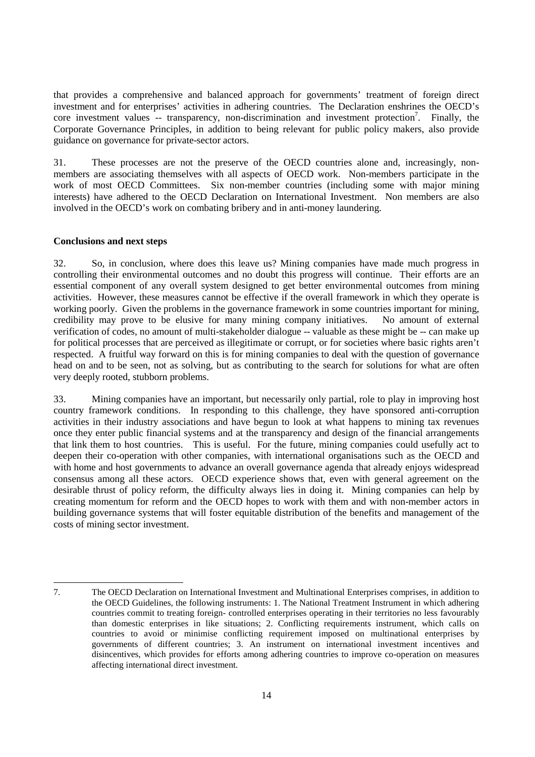that provides a comprehensive and balanced approach for governments' treatment of foreign direct investment and for enterprises' activities in adhering countries. The Declaration enshrines the OECD's core investment values  $-$  transparency, non-discrimination and investment protection<sup>7</sup>. Finally, the Corporate Governance Principles, in addition to being relevant for public policy makers, also provide guidance on governance for private-sector actors.

31. These processes are not the preserve of the OECD countries alone and, increasingly, nonmembers are associating themselves with all aspects of OECD work. Non-members participate in the work of most OECD Committees. Six non-member countries (including some with major mining interests) have adhered to the OECD Declaration on International Investment. Non members are also involved in the OECD's work on combating bribery and in anti-money laundering.

#### **Conclusions and next steps**

32. So, in conclusion, where does this leave us? Mining companies have made much progress in controlling their environmental outcomes and no doubt this progress will continue. Their efforts are an essential component of any overall system designed to get better environmental outcomes from mining activities. However, these measures cannot be effective if the overall framework in which they operate is working poorly. Given the problems in the governance framework in some countries important for mining, credibility may prove to be elusive for many mining company initiatives. No amount of external verification of codes, no amount of multi-stakeholder dialogue -- valuable as these might be -- can make up for political processes that are perceived as illegitimate or corrupt, or for societies where basic rights aren't respected. A fruitful way forward on this is for mining companies to deal with the question of governance head on and to be seen, not as solving, but as contributing to the search for solutions for what are often very deeply rooted, stubborn problems.

33. Mining companies have an important, but necessarily only partial, role to play in improving host country framework conditions. In responding to this challenge, they have sponsored anti-corruption activities in their industry associations and have begun to look at what happens to mining tax revenues once they enter public financial systems and at the transparency and design of the financial arrangements that link them to host countries. This is useful. For the future, mining companies could usefully act to deepen their co-operation with other companies, with international organisations such as the OECD and with home and host governments to advance an overall governance agenda that already enjoys widespread consensus among all these actors. OECD experience shows that, even with general agreement on the desirable thrust of policy reform, the difficulty always lies in doing it. Mining companies can help by creating momentum for reform and the OECD hopes to work with them and with non-member actors in building governance systems that will foster equitable distribution of the benefits and management of the costs of mining sector investment.

7. The OECD Declaration on International Investment and Multinational Enterprises comprises, in addition to the OECD Guidelines, the following instruments: 1. The National Treatment Instrument in which adhering countries commit to treating foreign- controlled enterprises operating in their territories no less favourably than domestic enterprises in like situations; 2. Conflicting requirements instrument, which calls on countries to avoid or minimise conflicting requirement imposed on multinational enterprises by governments of different countries; 3. An instrument on international investment incentives and disincentives, which provides for efforts among adhering countries to improve co-operation on measures affecting international direct investment.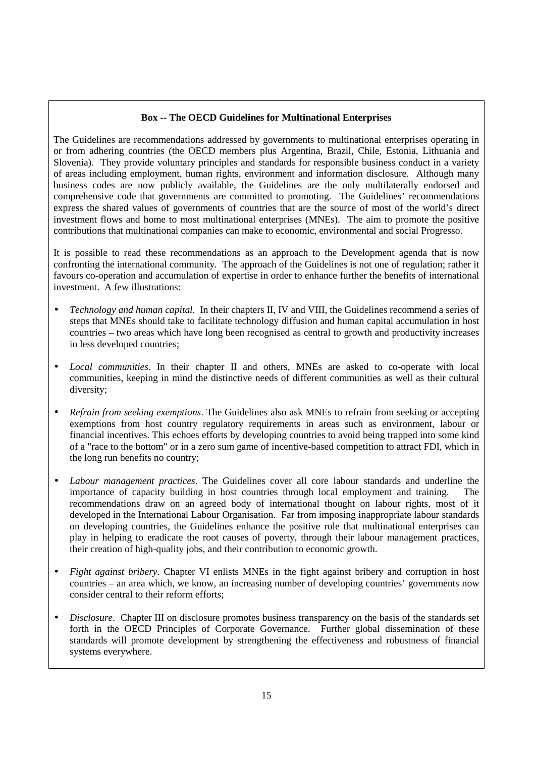# **Box -- The OECD Guidelines for Multinational Enterprises**

The Guidelines are recommendations addressed by governments to multinational enterprises operating in or from adhering countries (the OECD members plus Argentina, Brazil, Chile, Estonia, Lithuania and Slovenia). They provide voluntary principles and standards for responsible business conduct in a variety of areas including employment, human rights, environment and information disclosure. Although many business codes are now publicly available, the Guidelines are the only multilaterally endorsed and comprehensive code that governments are committed to promoting. The Guidelines' recommendations express the shared values of governments of countries that are the source of most of the world's direct investment flows and home to most multinational enterprises (MNEs). The aim to promote the positive contributions that multinational companies can make to economic, environmental and social Progresso.

It is possible to read these recommendations as an approach to the Development agenda that is now confronting the international community. The approach of the Guidelines is not one of regulation; rather it favours co-operation and accumulation of expertise in order to enhance further the benefits of international investment. A few illustrations:

- *Technology and human capital*. In their chapters II, IV and VIII, the Guidelines recommend a series of steps that MNEs should take to facilitate technology diffusion and human capital accumulation in host countries – two areas which have long been recognised as central to growth and productivity increases in less developed countries;
- *Local communities*. In their chapter II and others, MNEs are asked to co-operate with local communities, keeping in mind the distinctive needs of different communities as well as their cultural diversity;
- *Refrain from seeking exemptions*. The Guidelines also ask MNEs to refrain from seeking or accepting exemptions from host country regulatory requirements in areas such as environment, labour or financial incentives. This echoes efforts by developing countries to avoid being trapped into some kind of a "race to the bottom" or in a zero sum game of incentive-based competition to attract FDI, which in the long run benefits no country;
- *Labour management practices*. The Guidelines cover all core labour standards and underline the importance of capacity building in host countries through local employment and training. recommendations draw on an agreed body of international thought on labour rights, most of it developed in the International Labour Organisation. Far from imposing inappropriate labour standards on developing countries, the Guidelines enhance the positive role that multinational enterprises can play in helping to eradicate the root causes of poverty, through their labour management practices, their creation of high-quality jobs, and their contribution to economic growth.
- *Fight against bribery*. Chapter VI enlists MNEs in the fight against bribery and corruption in host countries – an area which, we know, an increasing number of developing countries' governments now consider central to their reform efforts;
- *Disclosure*. Chapter III on disclosure promotes business transparency on the basis of the standards set forth in the OECD Principles of Corporate Governance. Further global dissemination of these standards will promote development by strengthening the effectiveness and robustness of financial systems everywhere.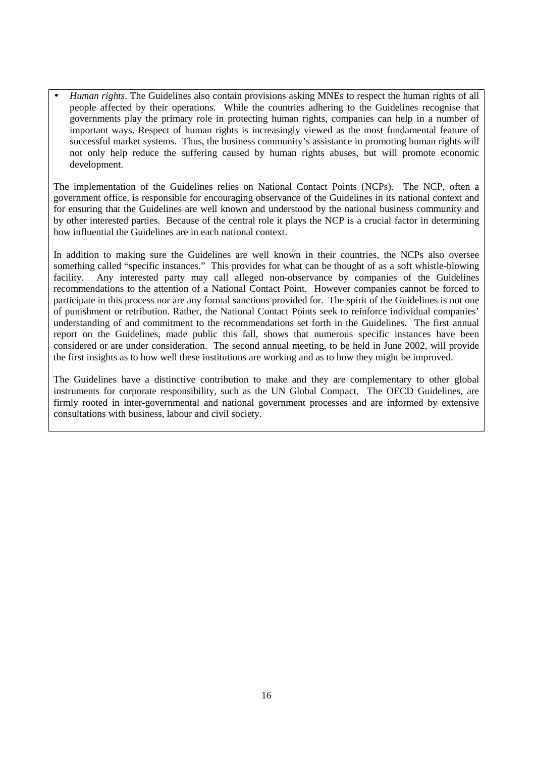• *Human rights*. The Guidelines also contain provisions asking MNEs to respect the human rights of all people affected by their operations. While the countries adhering to the Guidelines recognise that governments play the primary role in protecting human rights, companies can help in a number of important ways. Respect of human rights is increasingly viewed as the most fundamental feature of successful market systems. Thus, the business community's assistance in promoting human rights will not only help reduce the suffering caused by human rights abuses, but will promote economic development.

The implementation of the Guidelines relies on National Contact Points (NCPs). The NCP, often a government office, is responsible for encouraging observance of the Guidelines in its national context and for ensuring that the Guidelines are well known and understood by the national business community and by other interested parties. Because of the central role it plays the NCP is a crucial factor in determining how influential the Guidelines are in each national context.

In addition to making sure the Guidelines are well known in their countries, the NCPs also oversee something called "specific instances." This provides for what can be thought of as a soft whistle-blowing facility. Any interested party may call alleged non-observance by companies of the Guidelines recommendations to the attention of a National Contact Point. However companies cannot be forced to participate in this process nor are any formal sanctions provided for. The spirit of the Guidelines is not one of punishment or retribution. Rather, the National Contact Points seek to reinforce individual companies' understanding of and commitment to the recommendations set forth in the Guidelines**.** The first annual report on the Guidelines, made public this fall, shows that numerous specific instances have been considered or are under consideration. The second annual meeting, to be held in June 2002, will provide the first insights as to how well these institutions are working and as to how they might be improved.

The Guidelines have a distinctive contribution to make and they are complementary to other global instruments for corporate responsibility, such as the UN Global Compact. The OECD Guidelines, are firmly rooted in inter-governmental and national government processes and are informed by extensive consultations with business, labour and civil society.